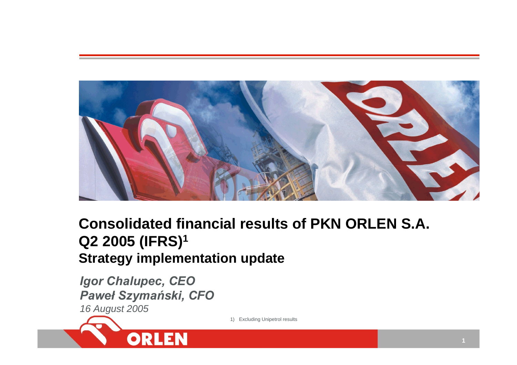

# **Consolidated financial results of PKN ORLEN S.A. Q2 2005 (IFRS)1 Strategy implementation update**

*Igor Chalupec, CEO Paweł Szymański, CFO 16 August 2005*

ORLEN

1) Excluding Unipetrol results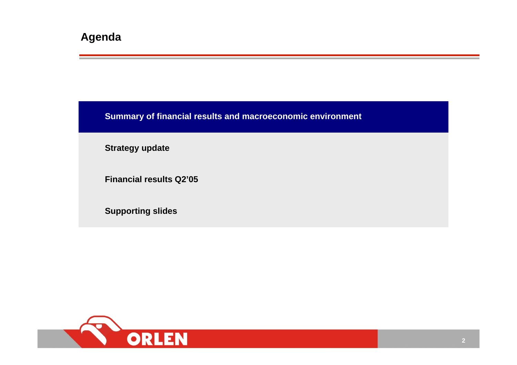**Summary of financial results and macroeconomic environment**

**Strategy update**

**Financial results Q2'05**

**Supporting slides**

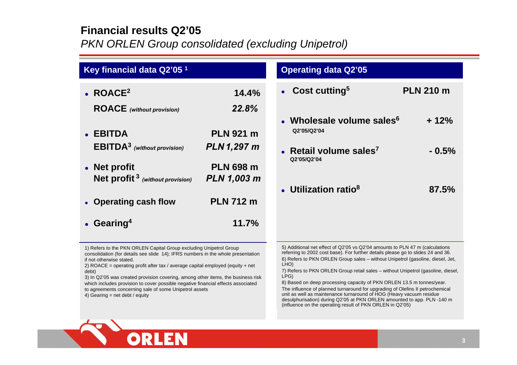### **Financial results Q2'05**

*PKN ORLEN Group consolidated (excluding Unipetrol)*

| Key financial data Q2'05 <sup>1</sup>                                                                                                                                                                                                                                                                                                                                                                                                                                                                           |                                                              | <b>Operating data Q2'05</b>                                                                                                                                                                                                                                                                                                                                                                                                                                                                                      |                            |
|-----------------------------------------------------------------------------------------------------------------------------------------------------------------------------------------------------------------------------------------------------------------------------------------------------------------------------------------------------------------------------------------------------------------------------------------------------------------------------------------------------------------|--------------------------------------------------------------|------------------------------------------------------------------------------------------------------------------------------------------------------------------------------------------------------------------------------------------------------------------------------------------------------------------------------------------------------------------------------------------------------------------------------------------------------------------------------------------------------------------|----------------------------|
| $\bullet$ ROACE <sup>2</sup><br><b>ROACE</b> (without provision)<br>• EBITDA                                                                                                                                                                                                                                                                                                                                                                                                                                    | 14.4%<br>22.8%<br><b>PLN 921 m</b>                           | Cost cutting <sup>5</sup><br>• Wholesale volume sales $6$<br>Q2'05/Q2'04                                                                                                                                                                                                                                                                                                                                                                                                                                         | <b>PLN 210 m</b><br>$+12%$ |
| <b>EBITDA</b> <sup>3</sup> (without provision)<br>• Net profit<br><b>Net profit</b> $3$ (without provision)                                                                                                                                                                                                                                                                                                                                                                                                     | <b>PLN 1,297 m</b><br><b>PLN 698 m</b><br><b>PLN 1,003 m</b> | Retail volume sales <sup>7</sup><br>Q2'05/Q2'04                                                                                                                                                                                                                                                                                                                                                                                                                                                                  | $-0.5%$                    |
| • Operating cash flow<br>• Gearing <sup>4</sup>                                                                                                                                                                                                                                                                                                                                                                                                                                                                 | <b>PLN 712 m</b><br>11.7%                                    | • Utilization ratio <sup>8</sup>                                                                                                                                                                                                                                                                                                                                                                                                                                                                                 | 87.5%                      |
| 1) Refers to the PKN ORLEN Capital Group excluding Unipetrol Group<br>consolidation (for details see slide 14); IFRS numbers in the whole presentation<br>if not otherwise stated.<br>2) ROACE = operating profit after tax / average capital employed (equity + net<br>debt)<br>3) In Q2'05 was created provision covering, among other items, the business risk<br>which includes provision to cover possible negative financial effects associated<br>to agreements concerning sale of some Unipetrol assets |                                                              | 5) Additional net effect of Q2'05 vs Q2'04 amounts to PLN 47 m (calculations<br>referring to 2002 cost base). For further details please go to slides 24 and 36.<br>6) Refers to PKN ORLEN Group sales - without Unipetrol (gasoline, diesel, Jet,<br>LHO)<br>7) Refers to PKN ORLEN Group retail sales – without Unipetrol (gasoline, diesel,<br>LPG)<br>8) Based on deep processing capacity of PKN ORLEN 13.5 m tonnes/year.<br>The influence of planned turnaround for upgrading of Olefins II petrochemical |                            |

4) Gearing = net debt / equity



The influence of planned turnaround for upgrading of Olefins II petrochemical unit as well as maintenance turnaround of HOG (Heavy vacuum residue desulphurisation) during Q2'05 at PKN ORLEN amounted to app. PLN -140 m (influence on the operating result of PKN ORLEN in Q2'05)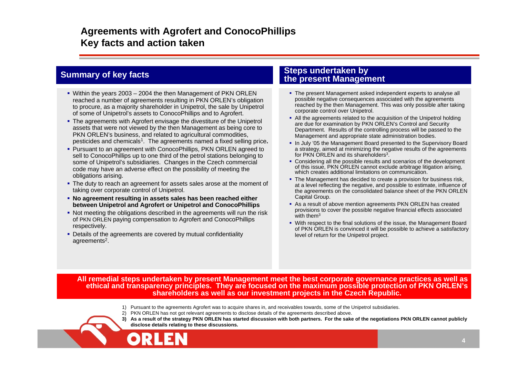### **Agreements with Agrofert and ConocoPhillips Key facts and action taken**

- Within the years 2003 2004 the then Management of PKN ORLEN reached a number of agreements resulting in PKN ORLEN's obligation to procure, as a majority shareholder in Unipetrol, the sale by Unipetrol of some of Unipetrol's assets to ConocoPhillips and to Agrofert.
- The agreements with Agrofert envisage the divestiture of the Unipetrol assets that were not viewed by the then Management as being core to PKN ORLEN's business, and related to agricultural commodities, pesticides and chemicals1. The agreements named a fixed selling price**.**
- Pursuant to an agreement with ConocoPhillips, PKN ORLEN agreed to sell to ConocoPhillips up to one third of the petrol stations belonging to some of Unipetrol's subsidiaries. Changes in the Czech commercial code may have an adverse effect on the possibility of meeting the obligations arising.
- The duty to reach an agreement for assets sales arose at the moment of taking over corporate control of Unipetrol.
- **No agreement resulting in assets sales has been reached either between Unipetrol and Agrofert or Unipetrol and ConocoPhillips**
- Not meeting the obligations described in the agreements will run the risk of PKN ORLEN paying compensation to Agrofert and ConocoPhillips respectively.
- Details of the agreements are covered by mutual confidentiality agreements<sup>2</sup>.

#### **Steps undertaken by Summary of key facts**<br>**the present Management**

- The present Management asked independent experts to analyse all possible negative consequences associated with the agreements reached by the then Management. This was only possible after taking corporate control over Unipetrol.
- All the agreements related to the acquisition of the Unipetrol holding are due for examination by PKN ORLEN's Control and Security Department. Results of the controlling process will be passed to the Management and appropriate state administration bodies.
- In July '05 the Management Board presented to the Supervisory Board a strategy, aimed at minimizing the negative results of the agreements for PKN ORLEN and its shareholders<sup>3</sup>.
- Considering all the possible results and scenarios of the development of this issue, PKN ORLEN cannot exclude arbitrage litigation arising, which creates additional limitations on communication.
- The Management has decided to create a provision for business risk, at a level reflecting the negative, and possible to estimate, influence of the agreements on the consolidated balance sheet of the PKN ORLEN Capital Group.
- As a result of above mention agreements PKN ORLEN has created provisions to cover the possible negative financial effects associated with them $^3\,$
- With respect to the final solutions of the issue, the Management Board of PKN ORLEN is convinced it will be possible to achieve a satisfactory level of return for the Unipetrol project.

**All remedial steps undertaken by present Management meet the best corporate governance practices as well as ethical and transparency principles. They are focused on the maximum possible protection of PKN ORLEN's shareholders as well as our investment projects in the Czech Republic.**

- 1) Pursuant to the agreements Agrofert was to acquire shares in, and receivables towards, some of the Unipetrol subsidiaries.
- 2) PKN ORLEN has not got relevant agreements to disclose details of the agreements described above.
- **3) As a result of the strategy PKN ORLEN has started discussion with both partners. For the sake of the negotiations PKN ORLEN cannot publicly disclose details relating to these discussions.**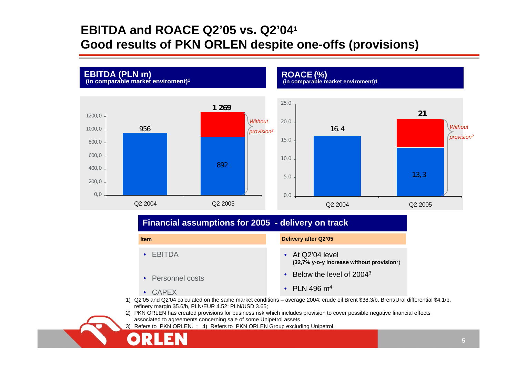# **EBITDA and ROACE Q2'05 vs. Q2'041 Good results of PKN ORLEN despite one-offs (provisions)**



#### **Financial assumptions for 2005 - delivery on track**

**Item**

• EBITDA

• Personnel costs

**Delivery after Q2'05** 

• At Q2'04 level **(32,7% y-o-y increase without provision2**)

•Below the level of 2004<sup>3</sup>

• CAPEX

- PLN 496  $\mathsf{m}^4$
- 1) Q2'05 and Q2'04 calculated on the same market conditions average 2004: crude oil Brent \$38.3/b, Brent/Ural differential \$4.1/b, refinery margin \$5.6/b, PLN/EUR 4.52; PLN/USD 3.65;
- 2) PKN ORLEN has created provisions for business risk which includes provision to cover possible negative financial effects associated to agreements concerning sale of some Unipetrol assets .
- 3) Refers to PKN ORLEN. ; 4) Refers to PKN ORLEN Group excluding Unipetrol.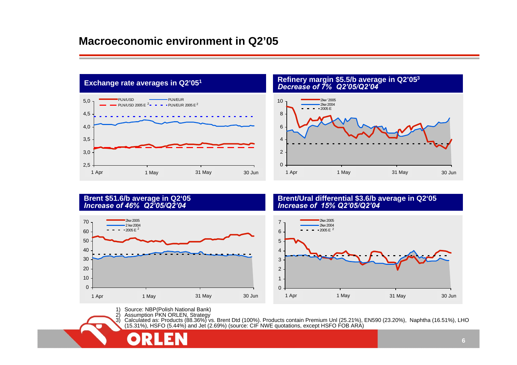

# **Exchange rate averages in Q2'051 Refinery margin \$5.5/b average in Q2'053** *Dec rea s e of 7 % Q2'05/Q2'04*



#### **Brent \$51.6/b average in Q2'05** *Increa s e of 46 % Q2'05/Q2'04*



#### **Brent/Ural differ ential \$3.6/b av erage in Q2'05** *Increa s e of 15 % Q2'05/Q2'04*



1) Source: NBP(Polish National Bank)

2) Assumption P KN ORLEN, Strategy

3) Calculated as: Products (88.36%) vs. Brent Dtd (100%). Products contain Premium Unl (25.21%), EN590 (23.20%), Naphtha (16.51%), LHO (15.31%), HSF O (5.44%) and Jet (2.69%) (source: CIF NWE quotations, except HSF O F OB ARA)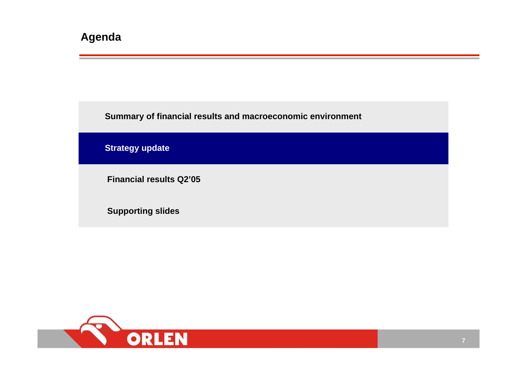**Summary of financial results and macroeconomic environment**

**Strategy update**

**Financial results Q2'05**

**Supporting slides**

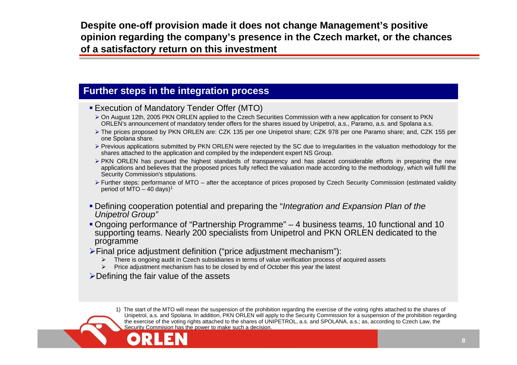**Despite one-off provision made it does not change Management's positive opinion regarding the company's presence in the Czech market, or the chances of a satisfactory return on this investment**

#### **Further steps in the integration process**

- Execution of Mandatory Tender Offer (MTO)
	- $\triangleright$  On August 12th, 2005 PKN ORLEN applied to the Czech Securities Commission with a new application for consent to PKN ORLEN's announcement of mandatory tender offers for the shares issued by Unipetrol, a.s., Paramo, a.s. and Spolana a.s.
	- ¾ The prices proposed by PKN ORLEN are: CZK 135 per one Unipetrol share; CZK 978 per one Paramo share; and, CZK 155 per one Spolana share.
	- ¾ Previous applications submitted by PKN ORLEN were rejected by the SC due to irregularities in the valuation methodology for the shares attached to the application and compiled by the independent expert NS Group.
	- ¾ PKN ORLEN has pursued the highest standards of transparency and has placed considerable efforts in preparing the new applications and believes that the proposed prices fully reflect the valuation made according to the methodology, which will fulfil the Security Commission's stipulations.
	- ¾ Further steps: performance of MTO after the acceptance of prices proposed by Czech Security Commission (estimated validity period of MTO  $-$  40 days)<sup>1</sup>
- Defining cooperation potential and preparing the "*Integration and Expansion Plan of the Unipetrol Group"*
- Ongoing performance of "Partnership Programme" 4 business teams, 10 functional and 10 supporting teams. Nearly 200 specialists from Unipetrol and PKN ORLEN dedicated to the programme
- ¾Final price adjustment definition ("price adjustment mechanism"):
	- ¾There is ongoing audit in Czech subsidiaries in terms of value verification process of acquired assets
	- $\blacktriangleright$ Price adjustment mechanism has to be closed by end of October this year the latest
- ¾Defining the fair value of the assets

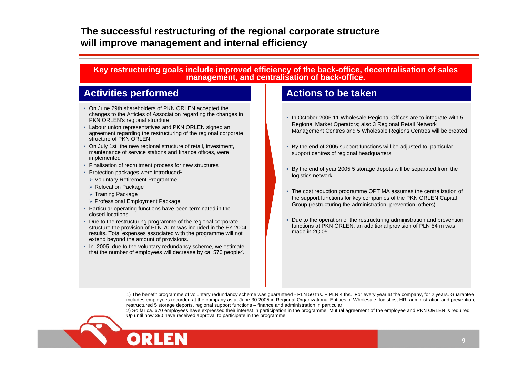### **The successful restructuring of the regional corporate structure will improve management and internal efficiency**

#### **Key restructuring goals include improved efficiency of the back-office, decentralisation of sales management, and centralisation of back-office.**

### **Activities performed Actions to be taken**

- On June 29th shareholders of PKN ORLEN accepted the changes to the Articles of Association regarding the changes in PKN ORLEN's regional structure
- Labour union representatives and PKN ORLEN signed an agreement regarding the restructuring of the regional corporate structure of PKN ORLEN
- On July 1st the new regional structure of retail, investment, maintenance of service stations and finance offices, were implemented
- Finalisation of recruitment process for new structures
- Protection packages were introduced<sup>1</sup>
- ¾ Voluntary Retirement Programme
- ¾ Relocation Package
- ¾ Training Package
- ¾ Professional Employment Package
- Particular operating functions have been terminated in the closed locations
- Due to the restructuring programme of the regional corporate structure the provision of PLN 70 m was included in the FY 2004 results. Total expenses associated with the programme will not extend beyond the amount of provisions.
- In 2005, due to the voluntary redundancy scheme, we estimate that the number of employees will decrease by ca. 570 people2.

- In October 2005 11 Wholesale Regional Offices are to integrate with 5 Regional Market Operators; also 3 Regional Retail Network Management Centres and 5 Wholesale Regions Centres will be created
- By the end of 2005 support functions will be adjusted to particular support centres of regional headquarters
- By the end of year 2005 5 storage depots will be separated from the logistics network
- The cost reduction programme OPTIMA assumes the centralization of the support functions for key companies of the PKN ORLEN Capital Group (restructuring the administration, prevention, others).
- Due to the operation of the restructuring administration and prevention functions at PKN ORLEN, an additional provision of PLN 54 m was made in 2Q'05

1) The benefit programme of voluntary redundancy scheme was guaranteed - PLN 50 ths. + PLN 4 ths. For every year at the company, for 2 years. Guarantee includes employees recorded at the company as at June 30 2005 in Regional Organizational Entities of Wholesale, logistics, HR, administration and prevention, restructured 5 storage deports, regional support functions – finance and administration in particular.

2) So far ca. 670 employees have expressed their interest in participation in the programme. Mutual agreement of the employee and PKN ORLEN is required. Up until now 390 have received approval to participate in the programme

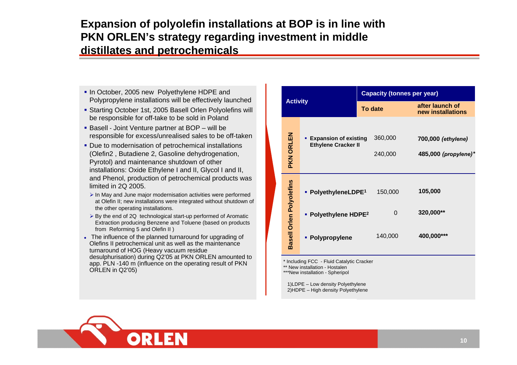### **Expansion of polyolefin installations at BOP is in line with PKN ORLEN's strategy regarding investment in middle distillates and petrochemicals**

- In October, 2005 new Polyethylene HDPE and Polypropylene installations will be effectively launched
- Starting October 1st, 2005 Basell Orlen Polyolefins will be responsible for off-take to be sold in Poland
- Basell Joint Venture partner at BOP will be responsible for excess/u nrealised sales to be off-taken
- Due to modernisation of petrochemical installations (Olefin2 , Butadiene 2, G asoline dehydrogenation, Pyrotol) and maintenance shutdown of other installations: Oxide Ethylene I and II, Glycol I and II, and Phenol, production of petro chemical product s was limited in 2Q 2005.
	- ¾ In May and June major modernisation activities were performed at Olefin II; ne w installations were integrated without shutdo wn of the other operating installations.
	- ¾By the end of 2Q technological start-up performed of Aromatic Extraction producing Benzene and Toluene (based on products from Reforming 5 and Olefin II )
- The influence of the planned turnaround for upgrading of Olefins II petroche mical unit as well as th e maintenance turnaround of HOG ( Heavy vacuu m residue desulphurisation) during Q2'05 at PKN ORLEN amounted to app. PLN -140 m (influence on the operating result of PKN ORL EN in Q2'05)

|                                 |                  | <b>Capacity (tonnes per year)</b>                          |         |                    |                                            |
|---------------------------------|------------------|------------------------------------------------------------|---------|--------------------|--------------------------------------------|
|                                 | <b>Activity</b>  |                                                            | To date |                    | after launch of<br>new installations       |
|                                 | <b>PKN ORLEN</b> | <b>Expansion of existing</b><br><b>Ethylene Cracker II</b> |         | 360,000<br>240,000 | 700,000 (ethylene)<br>485,000 (propylene)* |
|                                 |                  | • PolyethyleneLDPE <sup>1</sup>                            |         | 150,000            | 105,000                                    |
|                                 |                  | • Polyethylene HDPE <sup>2</sup>                           |         | 0                  | 320,000**                                  |
| <b>Basell Orlen Polyolefins</b> | • Polypropylene  |                                                            | 140,000 | 400,000***         |                                            |

\* Including F CC - Fluid Catalytic Cracker

\*\* New installation - Hostalen

\*\*\*Ne w installation - Spheripol

1)LDPE – Low density Polyethylene 2)H DPE – High density Polyethylene

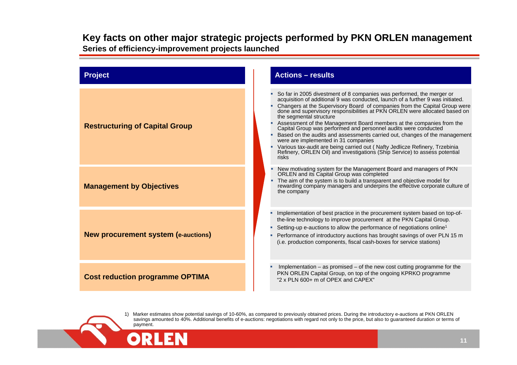#### **Key facts on other major strategic projects performed by PKN ORLEN management Series of efficiency-improvement projects lau nched**



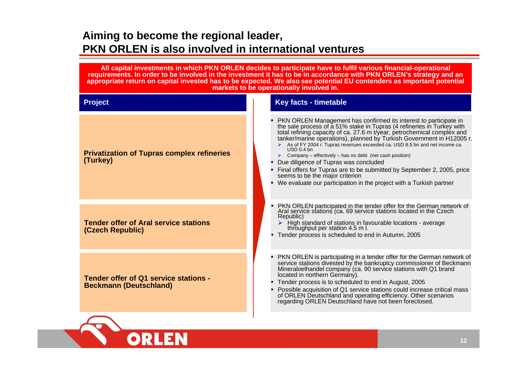## **Aiming to become the regional leader, PKN ORLEN is also involved in international ventures**

**Project Key facts - timetable Tender offer of Q1 s ervice stations -Beckmann (Deutschland)** г **PKN ORLEN is participating in a tender offer for the German network of** service stations divested by the bankruptcy commissioner of Beckmann Mineraloelhandel company (ca. 90 service stations with Q1 brand located in northern Germany). ■ Tender process is to scheduled to end in August, 2005 г • Possible acquisition of Q1 service stations could increase critical mass of ORLEN Deutschland and operating efficiency. Oth of ORLEN Deutschland and operating efficiency. Other scenarios<br>regarding ORLEN Deutschland have not been foreclosed. **Tender offer of Aral service stations (Czech Republic)** г PKN O RLEN participated in the tender offer for the Ger man network of Aral service stations (ca. 69 service stations located in the Czech Republic) ¾ High stand ard of stations in favourable locations - average throughput per station 4.5 m l. Tender process is scheduled to end in Autumn, 2005 **Privatization of Tupras complex refineries (Turk ey) PKN ORLEN Management has confirmed its interest to participate in** the sale process of ă 51% stake in Tupras (4 refineries in Turkey with total refining capacity of ca. 27.6 m t/year, petrochemical complex and tanker/marine operations), planned by Turkish Government in H12 005 r.  $\triangleright$  As of FY 2004 r. Tupras revenues exceeded ca. USD 8.5 bn and net income ca.  $USD0.4$  bn  $\triangleright$  Company – effectively – has no debt (net cash position) • Due diligence of Tupras was concluded ■ Final offers for Tupras are to be submitted by September 2, 2005, price see ms to be the major criterion ■ We evaluate our participation in the project with a Turkish partner **All capital investments in which PKN ORLEN decides to participate have to fulfil various financial-operational requirements. In order to be involved in the investment it has to be in accordance with PKN ORLEN's strateg y and an appro priate return on capital invested has to be expected. We also see potenti al EU contenders as important potential markets to be operationally involved in.**

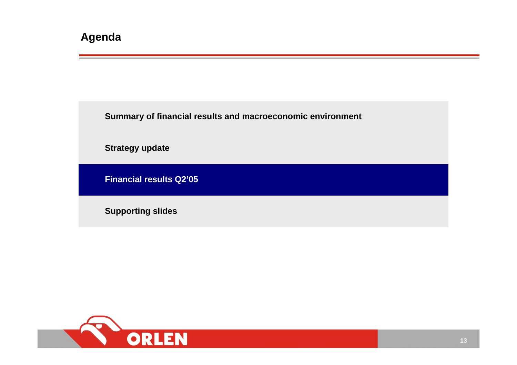**Summary of financial results and macroeconomic environment**

**Strategy update**

**Financial results Q2'05**

**Supporting slides**

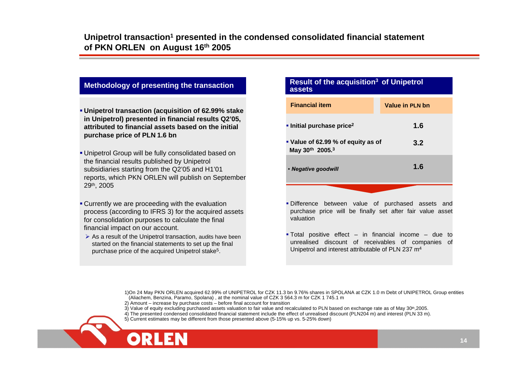- **Unipetrol transaction (acquisition of 62.99% stake in Unipetrol) presented in financial results Q2'05, attributed to financial assets based on the initial purchase price of PLN 1.6 bn**
- Unipetrol Group will be fully consolidated based on the financial results published by Unipetrol subsidiaries starting from the Q2'05 and H1'01 reports, which PKN ORLEN will publish on September 29th, 2005
- Currently we are proceeding with the evaluation process (according to IFRS 3) for the acquired assets for consolidation purposes to calculate the final financial impact on our account.
- $\triangleright$  As a result of the Unipetrol transaction, audits have been started on the financial statements to set up the final purchase price of the acquired Unipetrol stake5.

# Methodology of presenting the transaction **Result of the acquisition<sup>3</sup> of Unipetrol**

| <b>Financial item</b>                                 | Value in PLN bn |
|-------------------------------------------------------|-----------------|
| Initial purchase price <sup>2</sup>                   | 1.6             |
| • Value of 62.99 % of equity as of<br>May 30th 2005.3 | 3.2             |
| • Negative goodwill                                   | 1.6             |
|                                                       |                 |

- Difference between value of purchased assets and purchase price will be finally set after fair value asset valuation
- Total positive effect in financial income due to unrealised discount of receivables of companies of Unipetrol and interest attributable of PLN 237 m4

- 3) Value of equity excluding purchased assets valuation to fair value and recalculated to PLN based on exchange rate as of May 30<sup>th</sup>,2005.
- 4) The presented condensed consolidated financial statement include the effect of unrealised discount (PLN204 m) and interest (PLN 33 m).
- 5) Current estimates may be different from those presented above (5-15% up vs. 5-25% down)

<sup>1)</sup>On 24 May PKN ORLEN acquired 62.99% of UNIPETROL for CZK 11.3 bn 9.76% shares in SPOLANA at CZK 1.0 m Debt of UNIPETROL Group entities (Aliachem, Benzina, Paramo, Spolana) , at the nominal value of CZK 3 564.3 m for CZK 1 745.1 <sup>m</sup>

<sup>2)</sup> Amount – increase by purchase costs – before final account for transition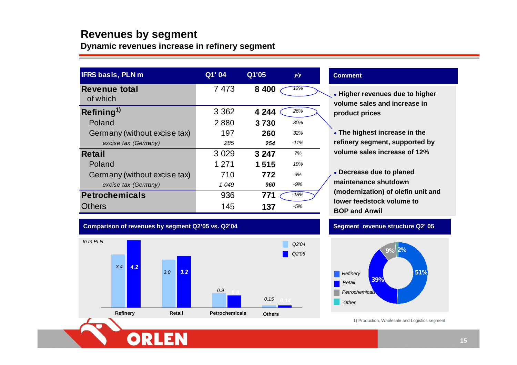### **Revenues by segment**

**Dynamic revenues increase in refinery segment**

| <b>IFRS basis, PLN m</b>         | Q1' 04  | Q1'05   | y/y    |
|----------------------------------|---------|---------|--------|
| <b>Revenue total</b><br>of which | 7 4 7 3 | 8 4 0 0 | 12%    |
| Refining <sup>1)</sup>           | 3 3 6 2 | 4 244   | 26%    |
| Poland                           | 2880    | 3730    | 30%    |
| Germany (without excise tax)     | 197     | 260     | 32%    |
| excise tax (Germany)             | 285     | 254     | $-11%$ |
| <b>Retail</b>                    | 3 0 2 9 | 3 247   | 7%     |
| Poland                           | 1 2 7 1 | 1515    | 19%    |
| Germany (without excise tax)     | 710     | 772     | 9%     |
| excise tax (Germany)             | 1 0 4 9 | 960     | -9%    |
| <b>Petrochemicals</b>            | 936     | 771     | $-18%$ |
| <b>Others</b>                    | 145     | 137     | -5%    |

#### **Comment**

- z **Higher revenues due to higher volume sales and increase in product prices**
- z **The highest increase in the refinery segment, supported by volume sales increase of 12%**
- **Decrease due to planed maintenance shutdown(modernization) of olefin unit and lower feedstock volume toBOP and Anwil**

#### **Comparison of revenues by segment Q2'05 vs. Q2'04**



#### **Segment revenue structure Q2' 05**



1) Production, Wholesale and Logistics segment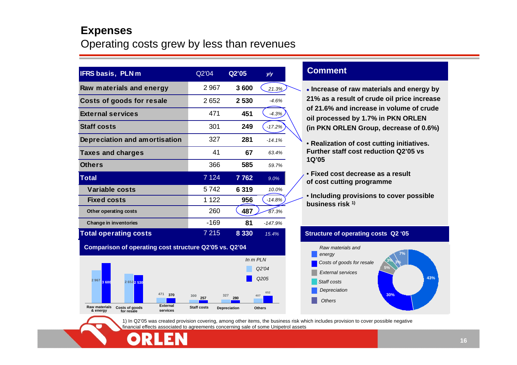### **Expenses**

### Operating costs grew by less than revenues

| <b>IFRS basis, PLNm</b>       | Q2'04   | Q2'05   | y/y       |
|-------------------------------|---------|---------|-----------|
| Raw materials and energy      | 2967    | 3600    | 21.3%     |
| Costs of goods for resale     | 2652    | 2 5 3 0 | $-4.6%$   |
| <b>External services</b>      | 471     | 451     | $-4.3%$   |
| <b>Staff costs</b>            | 301     | 249     | $-17.2%$  |
| Depreciation and amortisation | 327     | 281     | $-14.1%$  |
| <b>Taxes and charges</b>      | 41      | 67      | 63.4%     |
| <b>Others</b>                 | 366     | 585     | 59.7%     |
| Total                         | 7 1 2 4 | 7762    | 9.0%      |
| Variable costs                | 5742    | 6319    | 10.0%     |
| <b>Fixed costs</b>            | 1 1 2 2 | 956     | $-14.8%$  |
| Other operating costs         | 260     | 487     | 87.3%     |
| Change in inventories         | -169    | 81      | $-147.9%$ |
| <b>Total operating costs</b>  | 7 215   | 8 3 3 0 | 15.4%     |

**Comparison of operating cost structure Q2'05 vs. Q2'04**



#### **Comment**

- **Increase of raw materials and energy by 21% as a result of crude oil price increase of 21.6% and increase in volume of crude oil processed by 1.7% in PKN ORLEN (in PKN ORLEN Group, decrease of 0.6%)**
- **Realization of cost cutting initiatives. Further staff cost reduction Q2'05 vs 1Q'05**
- **Fixed cost decrease as a result of cost cutting programme**
- **Including provisions to cover possible business risk 1)**

#### **Structure of operating costs Q2 '05**



1) In Q2'05 was created provision covering, among other items, the business risk which includes provision to cover possible negative financial effects associated to agreements concerning sale of some Unipetrol assets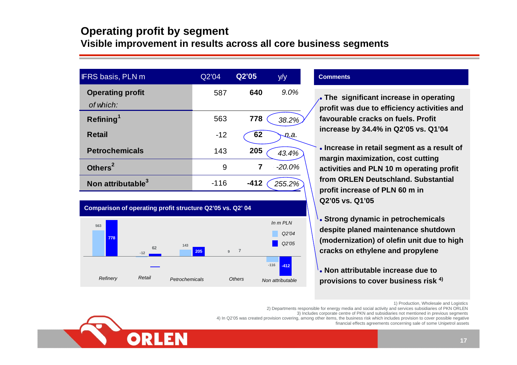### **Operating profit by segment Visible improvement in results across all core business segments**

| <b>IFRS basis, PLN m</b>      | Q2'04  | Q2'05  | y/y      |
|-------------------------------|--------|--------|----------|
| <b>Operating profit</b>       | 587    | 640    | 9.0%     |
| of which:                     |        |        |          |
| Refining <sup>1</sup>         | 563    | 778    | 38.2%    |
| <b>Retail</b>                 | $-12$  | 62     | ņа.      |
| <b>Petrochemicals</b>         | 143    | 205    | 43.4%    |
| Others <sup>2</sup>           | 9      | 7      | $-20.0%$ |
| Non attributable <sup>3</sup> | $-116$ | $-412$ | 255.2%   |

#### **Comparison of oper ating profit structure Q2'05 vs. Q2' 04**



#### **Comments**

**• The significant increase in operating profit w as d ue to efficiency activities and favourable cracks on fuels. Profit increa s e by 34.4% in Q2'05 vs. Q1'04**

**.** Increase in retail segment as a result of **margin maximiz ation, cost cutting activitie s a nd PLN 10 m operating profit from ORLEN Deutschland. Substantial profit i ncrease of PLN 60 m in Q2'05 vs. Q1'05**

**.** Strong dynamic in petrochemicals **despite planed maintenance s hutdown(modernization) of olefin unit due to high cracks on ethylene and propylene**

**• Non attributable increase due to provisions to cover business risk 4)**

1) Production, Wholesale and Logistics

2) Departments responsible for energy media and social activity and services subsidiaries of PKN ORLEN

3) Includes corporate centre of PKN and subsidiaries not mentioned in previous segments

4) In Q2'05 was created provision covering, among other items, the business risk which includes provision to cover possible negative

financial effects agreements concerning sale of some Unipetrol assets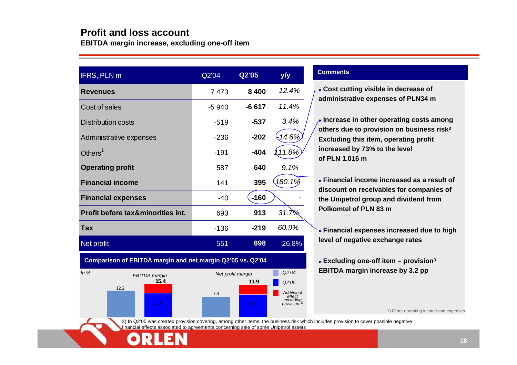#### **Profit and loss account**

**EBITDA margin increase, excluding one-off item**

| IFRS, PLN m                                  | Q2'05<br>Q2'04 |         | y/y       |
|----------------------------------------------|----------------|---------|-----------|
| <b>Revenues</b>                              | 7473           | 8 4 0 0 | 12.4%     |
| Cost of sales                                | $-5940$        | $-6617$ | 11.4%     |
| <b>Distribution costs</b>                    | $-519$         | $-537$  | 3.4%      |
| Administrative expenses                      | $-236$         | $-202$  | $-14.6%$  |
| Others $1$                                   | $-191$         | $-404$  | 11.8%     |
| <b>Operating profit</b>                      | 587            | 640     | 9.1%      |
| <b>Financial income</b>                      | 141            | 395     | $180.1\%$ |
| <b>Financial expenses</b>                    | $-40$          | $-160$  |           |
| <b>Profit before tax&amp;minorities int.</b> | 693            | 913     | 31.7%     |
| <b>Tax</b>                                   | $-136$         | $-219$  | 60.9%     |
| Net profit                                   | 551            | 698     | 26,8%     |

**Comparison of EBITDA margin and net margin Q2'05 vs. Q2'04**



#### **Comments**

z **Cost cutting visible in decrease of administrative expenses of PLN34 m**

**• Increase in other operating costs among others due to provision on business risk3 Excluding this item, operating profit increased by 73% to the level of PLN 1.016 m**

**• Financial income increased as a result of discount on receivables for companies of the Unipetrol group and dividend from Polkomtel of PLN 83 m**

**• Financial expenses increased due to high level of negative exchange rates**

z **Excluding one-off item – provision3 EBITDA margin increase by 3.2 pp**

1) Other operating income and expenses

2) In Q2'05 was created provision covering, among other items, the business risk which includes provision to cover possible negative financial effects associated to agreements concerning sale of some Unipetrol assets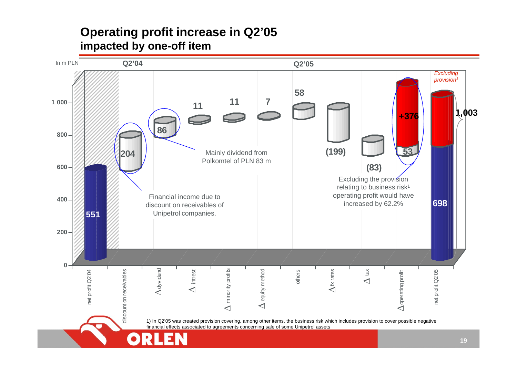## **Operating profit increase in Q2'05 impacted by one-off item**

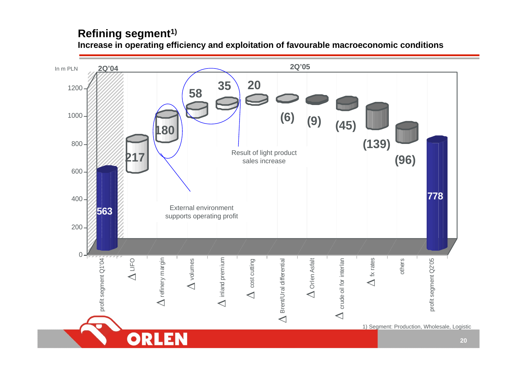### **Refining segment1)**

**Increase in operating efficiency and exploitation of favourable macroeconomic conditions**

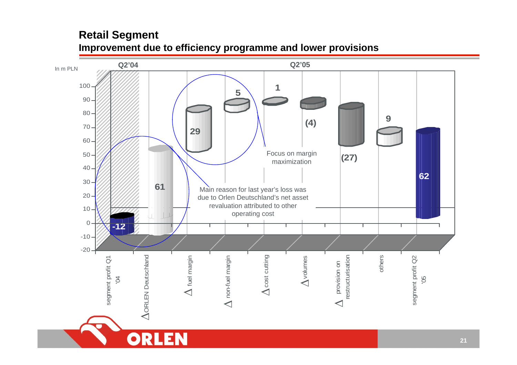### **Retail Segment Improvement due to efficiency programme and lower provisions**

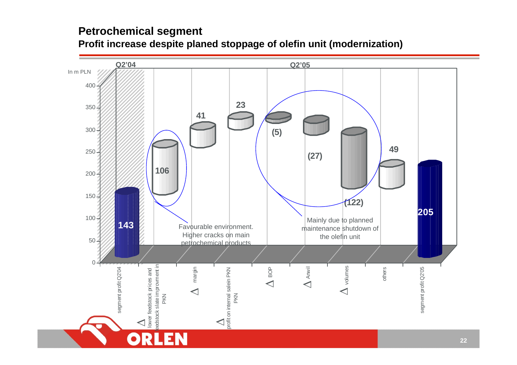### **Petrochemical segment**

### **Profit increase despite planed stoppage of olefin unit (modernization)**

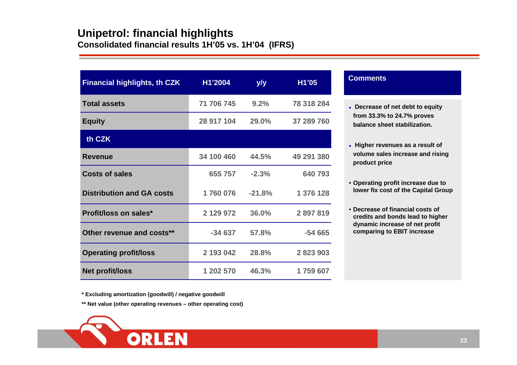### **Unipetrol: financial highlights Consolidated financial results 1H'05 vs. 1H'04 (IFRS)**

| <b>Financial highlights, th CZK</b> | H1'2004    | y/y      |            |
|-------------------------------------|------------|----------|------------|
| <b>Total assets</b>                 | 71 706 745 | 9.2%     | 78 318 284 |
| <b>Equity</b>                       | 28 917 104 | 29.0%    | 37 289 760 |
| th CZK                              |            |          |            |
| <b>Revenue</b>                      | 34 100 460 | 44.5%    | 49 291 380 |
| <b>Costs of sales</b>               | 655 757    | $-2.3%$  | 640 793    |
| <b>Distribution and GA costs</b>    | 1760076    | $-21.8%$ | 1 376 128  |
| <b>Profit/loss on sales*</b>        | 2 129 972  | 36.0%    | 2897819    |
| Other revenue and costs**           | $-34637$   | 57.8%    | $-54665$   |
| <b>Operating profit/loss</b>        | 2 193 042  | 28.8%    | 2 823 903  |
| Net profit/loss                     | 1 202 570  | 46.3%    | 1759 607   |

#### **Comments**

- z **Decr e a s e of net d ebt to equity fro m 33.3 % to 24.7 % proves balance sheet stabilization.**
- **Higher revenues as a result of v olume sales increas e an d risin g product pric e**
- **Oper ating profit incre a s e due to lo w er fix co st of the Capital Group**
- **Decrease of financial costsofcredits and bonds l e a d to higher d ynamic in cre a s e of n et profit comparing to EBIT increase**

**\* Excluding a mortization (good will) / ne gati ve good will**

**\*\* Net value (other operating re v enues – other operating cost)**

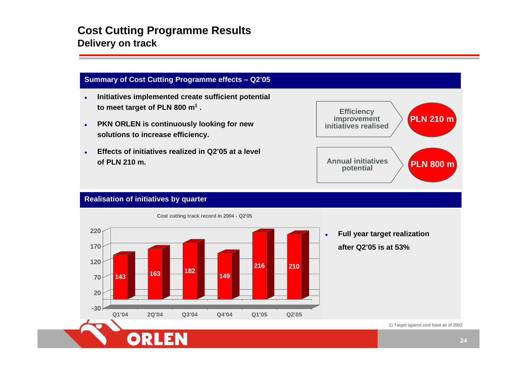### **Cost Cutting Programme Results Delivery on track**

#### **Summary of Cost Cutting Pro gramme effects – Q2'05**

- $\bullet$  **Initiatives implemented create sufficient p otential to meet target of PLN 800 m1 .**
- $\bullet$ **• PKN ORLEN** is continuously looking for new **sol utio ns t o i ncrease efficiency.**
- $\bullet$  **Effects of initiatives realized in Q2'05 at a level of PLN 210 m.**



#### **Realisation of initiatives by quarter**



**Cost cutting track record in 2004 - Q2'05**

o **F ull year target realization after Q2'05 is at 53%**

1) Target against cost base as of 2002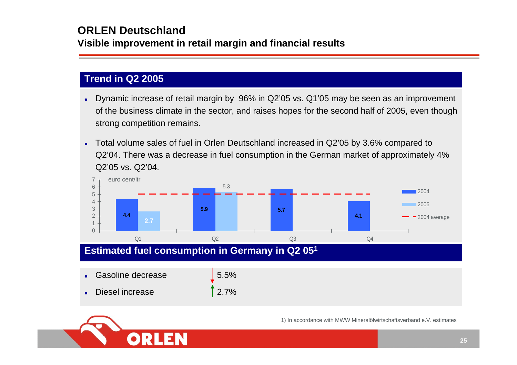### **ORLEN Deutschland**

**Visible improvement in retail margin and financial results**

### **Trend in Q2 2005**

- o Dynamic increase of retail margin by 96% in Q2'05 vs. Q1'05 may be seen as an improvement of the business climate in the sector, and raises hopes for the second half of 2005, even though strong competition remains.
- o Total volume sales of fuel in Orlen Deutschland increased in Q2'05 by 3.6% compared to Q2'04. There was a decrease in fuel consumption in the German market of approximately 4% Q2'05 vs. Q2'04.



- o Gasoline decrease 5.5%
- o Diesel increase 2.7%

1) In accordance with MWW Mineralölwirtschaftsverband e.V. estimates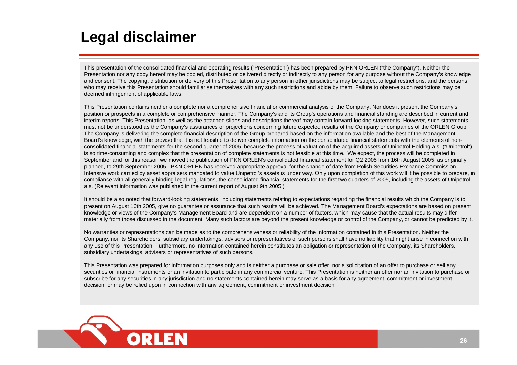# **Legal disclaimer**

This presentation of the consolidated financial and operating results ("Presentation") has been prepared by PKN ORLEN ("the Company"). Neither the Presentation nor any copy hereof may be copied, distributed or delivered directly or indirectly to any person for any purpose without the Company's knowledge and consent. The copying, distribution or delivery of this Presentation to any person in other jurisdictions may be subject to legal restrictions, and the persons who may receive this Presentation should familiarise themselves with any such restrictions and abide by them. Failure to observe such restrictions may be deemed infringement of applicable laws.

This Presentation contains neither a complete nor a comprehensive financial or commercial analysis of the Company. Nor does it present the Company's position or prospects in a complete or comprehensive manner. The Company's and its Group's operations and financial standing are described in current and interim reports. This Presentation, as well as the attached slides and descriptions thereof may contain forward-looking statements. However, such statements must not be understood as the Company's assurances or projections concerning future expected results of the Company or companies of the ORLEN Group. The Company is delivering the complete financial description of the Group prepared based on the information available and the best of the Management Board's knowledge, with the proviso that it is not feasible to deliver complete information on the consolidated financial statements with the elements of nonconsolidated financial statements for the second quarter of 2005, because the process of valuation of the acquired assets of Unipetrol Holding a.s. ("Unipetrol") is so time-consuming and complex that the presentation of complete statements is not feasible at this time. We expect, the process will be completed in September and for this reason we moved the publication of PKN ORLEN's consolidated financial statement for Q2 2005 from 16th August 2005, as originally planned, to 29th September 2005. PKN ORLEN has received appropriate approval for the change of date from Polish Securities Exchange Commission. Intensive work carried by asset appraisers mandated to value Unipetrol's assets is under way. Only upon completion of this work will it be possible to prepare, in compliance with all generally binding legal regulations, the consolidated financial statements for the first two quarters of 2005, including the assets of Unipetrol a.s. (Relevant information was published in the current report of August 9th 2005.)

It should be also noted that forward-looking statements, including statements relating to expectations regarding the financial results which the Company is to present on August 16th 2005, give no guarantee or assurance that such results will be achieved. The Management Board's expectations are based on present knowledge or views of the Company's Management Board and are dependent on a number of factors, which may cause that the actual results may differ materially from those discussed in the document. Many such factors are beyond the present knowledge or control of the Company, or cannot be predicted by it.

No warranties or representations can be made as to the comprehensiveness or reliability of the information contained in this Presentation. Neither the Company, nor its Shareholders, subsidiary undertakings, advisers or representatives of such persons shall have no liability that might arise in connection with any use of this Presentation. Furthermore, no information contained herein constitutes an obligation or representation of the Company, its Shareholders, subsidiary undertakings, advisers or representatives of such persons.

This Presentation was prepared for information purposes only and is neither a purchase or sale offer, nor a solicitation of an offer to purchase or sell any securities or financial instruments or an invitation to participate in any commercial venture. This Presentation is neither an offer nor an invitation to purchase or subscribe for any securities in any jurisdiction and no statements contained herein may serve as a basis for any agreement, commitment or investment decision, or may be relied upon in connection with any agreement, commitment or investment decision.

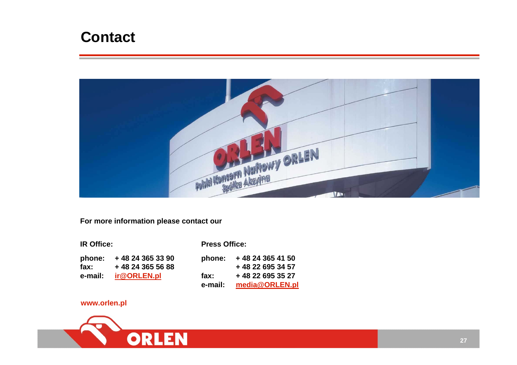# **Contact**



**For more information please contact our** 

| <b>IR Office:</b> |                  |
|-------------------|------------------|
| phone:            | +48 24 365 33 90 |
| fax:              | +48 24 365 56 88 |
| e-mail:           | ir@ORLEN.pl      |

**Press Office:**

| +48 24 365 41 50 |
|------------------|
| +48 22 695 34 57 |
| +48 22 695 35 27 |
| media@ORLEN.pl   |
|                  |

#### **www.orlen.pl**

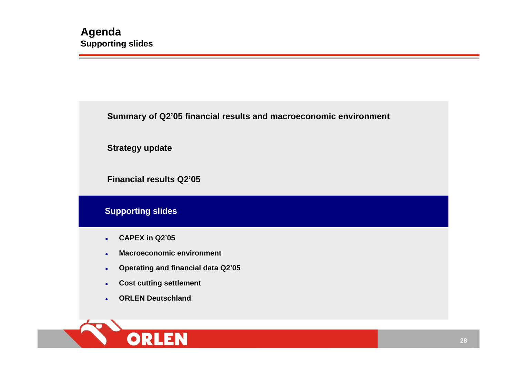**Summary of Q2'05 financial results and macroeconomic environment**

**Strategy update**

**Financial results Q2'05**

#### **Supporting slides**

- $\bullet$ **CAPEX in Q2'05**
- $\bullet$ **Macroeconomic environment**
- $\bullet$ **Operating and financial data Q2'05**
- $\bullet$ **Cost cutting settlement**
- o **ORLEN Deutschland**

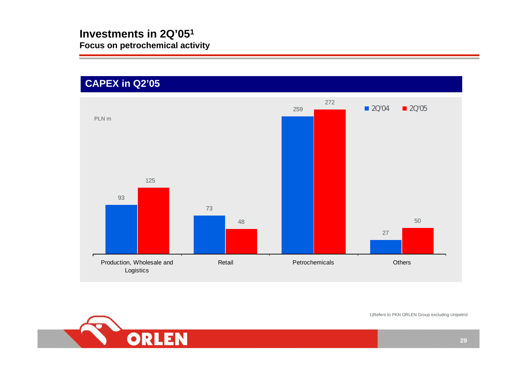## **CAPEX in Q2'05**





1)Refers to PKN ORLEN Group excluding Unipetrol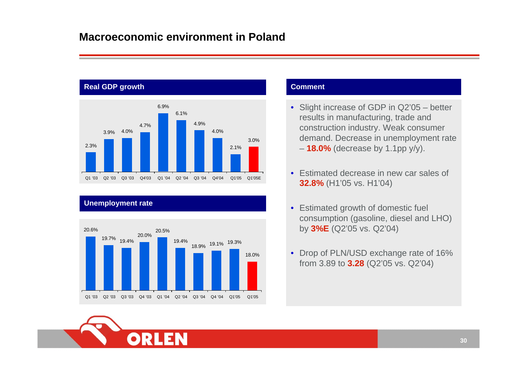### **Macroeconomic environment in Poland**



#### **Unemployment rate**



- Slight increase of GDP in Q2'05 better results in manufacturing, trade and construction i ndustry. Weak consumer demand. Decrease in unemployment rate – **18.0 %** (decrease by 1.1pp y/y).
- Estimated decrease in new car sales of **32.8 %** (H1'05 vs. H1'04)
- Estimated growth of domestic fuel consumption (gasoline, diesel and LHO) by **3% E** (Q2'05 vs. Q2' 04)
- Drop of PLN/U SD exchange rate of 16% from 3.89 to **3.28** (Q2'05 vs. Q2'04)

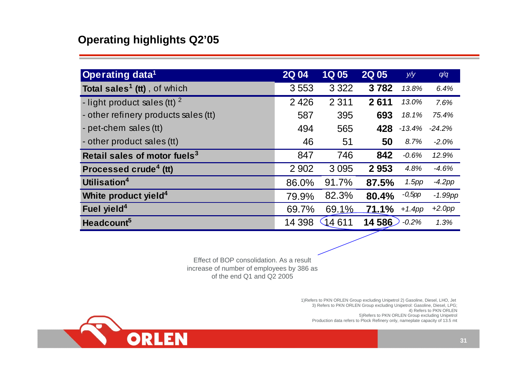## **Operating highlights Q2'05**

| <b>Operating data<sup>1</sup></b>              | <b>2Q04</b> | <b>1Q05</b> | <b>2Q05</b> | y/y       | q/q        |
|------------------------------------------------|-------------|-------------|-------------|-----------|------------|
| <b>Total sales<sup>1</sup> (tt)</b> , of which | 3553        | 3 3 2 2     | 3782        | 13.8%     | 6.4%       |
| - light product sales (tt) $2^2$               | 2 4 2 6     | 2 3 1 1     | 2611        | 13.0%     | 7.6%       |
| - other refinery products sales (tt)           | 587         | 395         | 693         | 18.1%     | 75.4%      |
| - pet-chem sales (tt)                          | 494         | 565         | 428         | $-13.4%$  | $-24.2%$   |
| - other product sales (tt)                     | 46          | 51          | 50          | 8.7%      | $-2.0%$    |
| Retail sales of motor fuels <sup>3</sup>       | 847         | 746         | 842         | $-0.6%$   | 12.9%      |
| Processed crude <sup>4</sup> (tt)              | 2 9 0 2     | 3 0 9 5     | 2953        | 4.8%      | $-4.6%$    |
| Utilisation <sup>4</sup>                       | 86.0%       | 91.7%       | 87.5%       | 1.5pp     | $-4.2pp$   |
| White product yield <sup>4</sup>               | 79.9%       | 82.3%       | 80.4%       | $-0,5$ pp | $-1.99$ pp |
| Fuel yield <sup>4</sup>                        | 69.7%       | 69.1%       | 71.1%       | $+1.4$ pp | $+2.0$ pp  |
| Headcount <sup>5</sup>                         | 14 3 98     | (14611      | 14 586      | $-0.2%$   | 1.3%       |

Effect of BOP consolidation. As a result increase of number of e mplo yees by 386 as of the end Q1 and Q2 2005

> 1)Refers to PKN ORLEN Group excluding Unipetrol 2) Gasoline, Diesel, LHO, Jet 3) Refers to PKN ORLEN Group excluding Unipetrol: Gasoline, Diesel, LPG; 4) Refers to PKN ORLEN 5)Refers to PKN ORLEN Group excluding Unipetrol Production data refers to Plock Refinery only, nameplate capacity of 13.5 mt

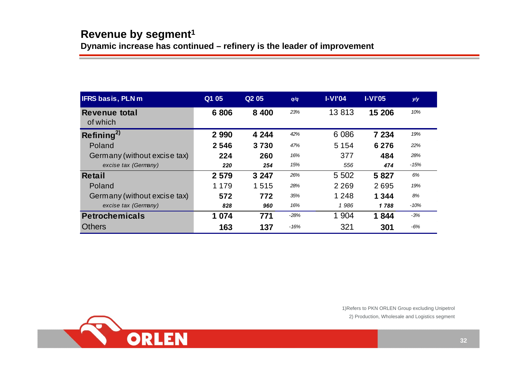**Dynamic increase has continued – refinery is the leader of improvement**

| <b>IFRS basis, PLN m</b>     | Q1 05   | Q <sub>2</sub> 05 | q/q    | $I-VI'04$ | $I-VI'05$ | y/y    |
|------------------------------|---------|-------------------|--------|-----------|-----------|--------|
| Revenue total<br>of which    | 6806    | 8 4 0 0           | 23%    | 13813     | 15 206    | 10%    |
| Refining <sup>2</sup>        | 2 9 9 0 | 4 2 4 4           | 42%    | 6 0 8 6   | 7 234     | 19%    |
| Poland                       | 2546    | 3730              | 47%    | 5 1 5 4   | 6 2 7 6   | 22%    |
| Germany (without excise tax) | 224     | 260               | 16%    | 377       | 484       | 28%    |
| excise tax (Germany)         | 220     | 254               | 15%    | 556       | 474       | -15%   |
| Retail                       | 2 5 7 9 | 3 2 4 7           | 26%    | 5 5 0 2   | 5827      | 6%     |
| Poland                       | 1 1 7 9 | 1515              | 28%    | 2 2 6 9   | 2695      | 19%    |
| Germany (without excise tax) | 572     | 772               | 35%    | 1 2 4 8   | 1 3 4 4   | 8%     |
| excise tax (Germany)         | 828     | 960               | 16%    | 1986      | 1788      | $-10%$ |
| <b>Petrochemicals</b>        | 1 0 7 4 | 771               | $-28%$ | 1 904     | 1844      | $-3%$  |
| <b>Others</b>                | 163     | 137               | -16%   | 321       | 301       | -6%    |



1)Refers to PKN ORLEN Group excluding Unipetrol 2) Production, Wholesale and Logistics segment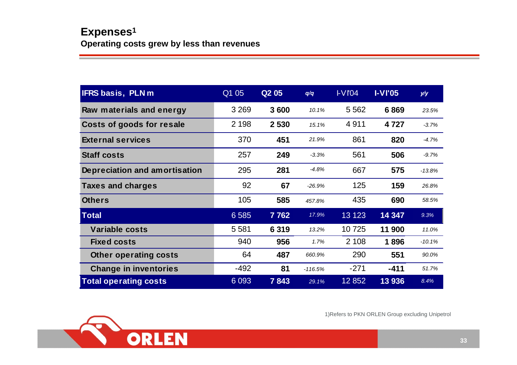| <b>IFRS basis, PLNm</b>       | Q1 05   | Q <sub>2</sub> 0 <sub>5</sub> | q/q       | IVIO4   | $I-VI'05$ | y/y      |
|-------------------------------|---------|-------------------------------|-----------|---------|-----------|----------|
| Raw materials and energy      | 3 2 6 9 | 3600                          | 10.1%     | 5 5 6 2 | 6869      | 23.5%    |
| Costs of goods for resale     | 2 1 9 8 | 2 5 3 0                       | 15.1%     | 4911    | 4 7 2 7   | $-3.7%$  |
| <b>External services</b>      | 370     | 451                           | 21.9%     | 861     | 820       | $-4.7%$  |
| <b>Staff costs</b>            | 257     | 249                           | $-3.3%$   | 561     | 506       | $-9.7%$  |
| Depreciation and amortisation | 295     | 281                           | $-4.8%$   | 667     | 575       | $-13.8%$ |
| <b>Taxes and charges</b>      | 92      | 67                            | $-26.9%$  | 125     | 159       | 26.8%    |
| <b>Others</b>                 | 105     | 585                           | 457.8%    | 435     | 690       | 58.5%    |
| <b>Total</b>                  | 6 5 8 5 | 7762                          | 17.9%     | 13 1 23 | 14 347    | 9.3%     |
| <b>Variable costs</b>         | 5 5 8 1 | 6 3 1 9                       | 13.2%     | 10725   | 11 900    | 11.0%    |
| <b>Fixed costs</b>            | 940     | 956                           | 1.7%      | 2 1 0 8 | 1896      | $-10.1%$ |
| <b>Other operating costs</b>  | 64      | 487                           | 660.9%    | 290     | 551       | 90.0%    |
| <b>Change in inventories</b>  | $-492$  | 81                            | $-116.5%$ | $-271$  | $-411$    | 51.7%    |
| <b>Total operating costs</b>  | 6 0 9 3 | 7843                          | 29.1%     | 12 852  | 13 936    | 8.4%     |



1)Refers to PKN ORLEN Group excluding Unipetrol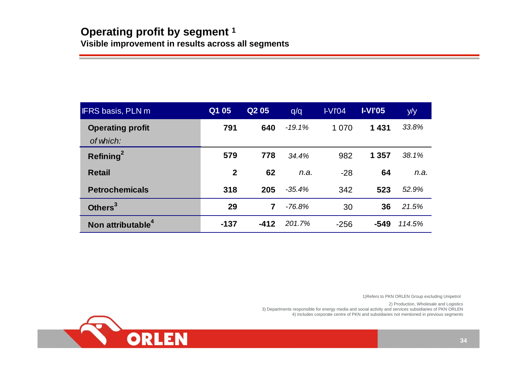| <b>IFRS basis, PLN m</b>      | Q1 05        | Q <sub>2</sub> 05 | q/q      | IVIO4  | <b>I-VI'05</b> | y/y    |
|-------------------------------|--------------|-------------------|----------|--------|----------------|--------|
| <b>Operating profit</b>       | 791          | 640               | $-19.1%$ | 1070   | 1431           | 33.8%  |
| of which:                     |              |                   |          |        |                |        |
| Refining $^2$                 | 579          | 778               | 34.4%    | 982    | 1 357          | 38.1%  |
| <b>Retail</b>                 | $\mathbf{2}$ | 62                | n.a.     | $-28$  | 64             | n.a.   |
| <b>Petrochemicals</b>         | 318          | 205               | $-35.4%$ | 342    | 523            | 52.9%  |
| Others <sup>3</sup>           | 29           | 7                 | $-76.8%$ | 30     | 36             | 21.5%  |
| Non attributable <sup>4</sup> | $-137$       | $-412$            | 201.7%   | $-256$ | $-549$         | 114.5% |

1)Refers to PKN ORLEN Group excluding Unipetrol

2) Production, Wholesale and Logistics

3) Departments responsible for energy media and social activity and services subsidiaries of PKN ORLEN 4) Includes corporate centre of PKN and subsidiaries not mentioned in previous segments

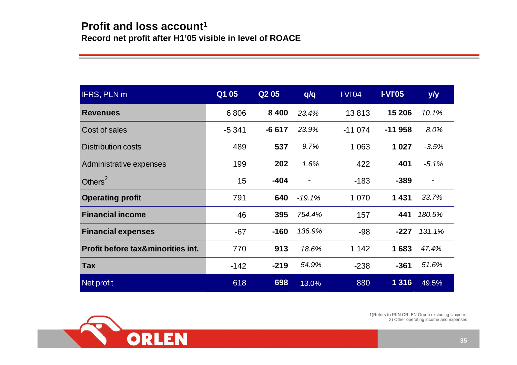| <b>IFRS, PLN m</b>                           | Q1 05   | Q <sub>2</sub> 0 <sub>5</sub> | q/q      | IVIO4    | <b>I-VI'05</b> | y/y                          |
|----------------------------------------------|---------|-------------------------------|----------|----------|----------------|------------------------------|
| <b>Revenues</b>                              | 6806    | 8 4 0 0                       | 23.4%    | 13813    | 15 206         | 10.1%                        |
| Cost of sales                                | $-5341$ | $-6617$                       | 23.9%    | $-11074$ | $-11958$       | 8.0%                         |
| <b>Distribution costs</b>                    | 489     | 537                           | 9.7%     | 1 0 6 3  | 1 0 2 7        | $-3.5%$                      |
| Administrative expenses                      | 199     | 202                           | 1.6%     | 422      | 401            | $-5.1%$                      |
| Others <sup>2</sup>                          | 15      | $-404$                        |          | $-183$   | $-389$         | $\qquad \qquad \blacksquare$ |
| <b>Operating profit</b>                      | 791     | 640                           | $-19.1%$ | 1 0 7 0  | 1431           | 33.7%                        |
| <b>Financial income</b>                      | 46      | 395                           | 754.4%   | 157      | 441            | 180.5%                       |
| <b>Financial expenses</b>                    | $-67$   | $-160$                        | 136.9%   | -98      | $-227$         | 131.1%                       |
| <b>Profit before tax&amp;minorities int.</b> | 770     | 913                           | 18.6%    | 1 1 4 2  | 1683           | 47.4%                        |
| <b>Tax</b>                                   | $-142$  | $-219$                        | 54.9%    | $-238$   | $-361$         | 51.6%                        |
| Net profit                                   | 618     | 698                           | 13.0%    | 880      | 1 3 1 6        | 49.5%                        |



2) Other operating income and expenses 1)Refers to PKN ORLEN Group excluding Unipetrol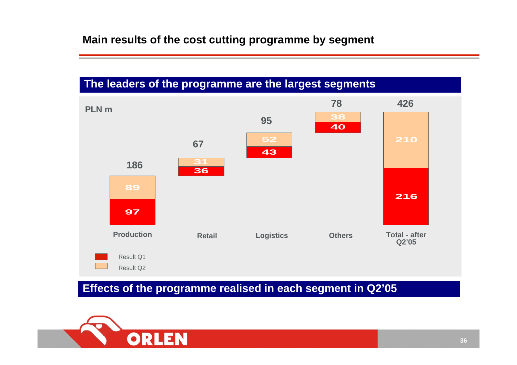### **The leaders of the programme are the largest segments**



## **Effects of the programme realised in each segment in Q2'05**